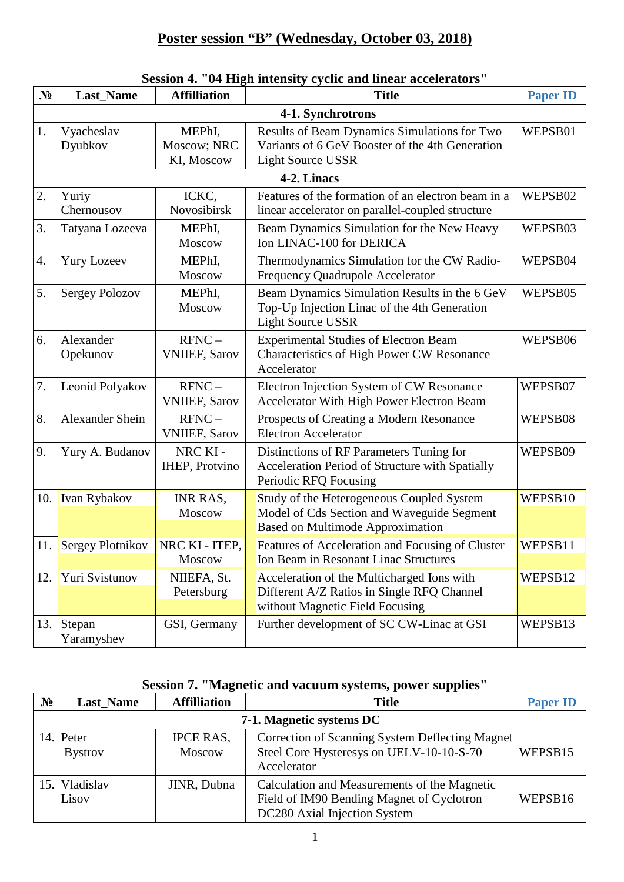### **Poster session "B" (Wednesday, October 03, 2018)**

## **Session 4. "04 High intensity cyclic and linear accelerators"**

| N <sub>2</sub> | <b>Last_Name</b>       | <b>Affilliation</b>                 | <b>Title</b>                                                                                                                       | <b>Paper ID</b> |  |  |
|----------------|------------------------|-------------------------------------|------------------------------------------------------------------------------------------------------------------------------------|-----------------|--|--|
|                | 4-1. Synchrotrons      |                                     |                                                                                                                                    |                 |  |  |
| 1.             | Vyacheslav<br>Dyubkov  | MEPhI,<br>Moscow; NRC<br>KI, Moscow | Results of Beam Dynamics Simulations for Two<br>Variants of 6 GeV Booster of the 4th Generation<br><b>Light Source USSR</b>        | WEPSB01         |  |  |
|                |                        |                                     | 4-2. Linacs                                                                                                                        |                 |  |  |
| 2.             | Yuriy<br>Chernousov    | ICKC,<br>Novosibirsk                | Features of the formation of an electron beam in a<br>linear accelerator on parallel-coupled structure                             | WEPSB02         |  |  |
| 3.             | Tatyana Lozeeva        | MEPhI,<br>Moscow                    | Beam Dynamics Simulation for the New Heavy<br>Ion LINAC-100 for DERICA                                                             | WEPSB03         |  |  |
| 4.             | <b>Yury Lozeev</b>     | MEPhI,<br>Moscow                    | Thermodynamics Simulation for the CW Radio-<br>Frequency Quadrupole Accelerator                                                    | WEPSB04         |  |  |
| 5.             | <b>Sergey Polozov</b>  | MEPhI,<br>Moscow                    | Beam Dynamics Simulation Results in the 6 GeV<br>Top-Up Injection Linac of the 4th Generation<br><b>Light Source USSR</b>          | WEPSB05         |  |  |
| 6.             | Alexander<br>Opekunov  | $RFNC -$<br><b>VNIIEF, Sarov</b>    | <b>Experimental Studies of Electron Beam</b><br>Characteristics of High Power CW Resonance<br>Accelerator                          | WEPSB06         |  |  |
| 7.             | Leonid Polyakov        | $RFNC -$<br><b>VNIIEF, Sarov</b>    | Electron Injection System of CW Resonance<br>Accelerator With High Power Electron Beam                                             | WEPSB07         |  |  |
| 8.             | <b>Alexander Shein</b> | $RFNC -$<br><b>VNIIEF, Sarov</b>    | Prospects of Creating a Modern Resonance<br><b>Electron Accelerator</b>                                                            | WEPSB08         |  |  |
| 9.             | Yury A. Budanov        | NRC KI-<br><b>IHEP, Protvino</b>    | Distinctions of RF Parameters Tuning for<br>Acceleration Period of Structure with Spatially<br>Periodic RFQ Focusing               | WEPSB09         |  |  |
|                | 10. Ivan Rybakov       | INR RAS,<br>Moscow                  | Study of the Heterogeneous Coupled System<br>Model of Cds Section and Waveguide Segment<br><b>Based on Multimode Approximation</b> | WEPSB10         |  |  |
| 11.            | Sergey Plotnikov       | NRC KI - ITEP,<br><b>Moscow</b>     | Features of Acceleration and Focusing of Cluster<br>Ion Beam in Resonant Linac Structures                                          | WEPSB11         |  |  |
| 12.            | Yuri Svistunov         | NIIEFA, St.<br>Petersburg           | Acceleration of the Multicharged Ions with<br>Different A/Z Ratios in Single RFQ Channel<br>without Magnetic Field Focusing        | WEPSB12         |  |  |
| 13.            | Stepan<br>Yaramyshev   | GSI, Germany                        | Further development of SC CW-Linac at GSI                                                                                          | WEPSB13         |  |  |

#### **Session 7. "Magnetic and vacuum systems, power supplies"**

| $N_2$ | Last_Name                   | <b>Affilliation</b>               | <b>Title</b>                                                                                                              | <b>Paper ID</b> |  |  |
|-------|-----------------------------|-----------------------------------|---------------------------------------------------------------------------------------------------------------------------|-----------------|--|--|
|       | 7-1. Magnetic systems DC    |                                   |                                                                                                                           |                 |  |  |
|       | 14. Peter<br><b>Bystrov</b> | <b>IPCE RAS,</b><br><b>Moscow</b> | Correction of Scanning System Deflecting Magnet<br>Steel Core Hysteresys on UELV-10-10-S-70<br>Accelerator                | WEPSB15         |  |  |
|       | Vladislav<br>Lisov          | JINR, Dubna                       | Calculation and Measurements of the Magnetic<br>Field of IM90 Bending Magnet of Cyclotron<br>DC280 Axial Injection System | WEPSB16         |  |  |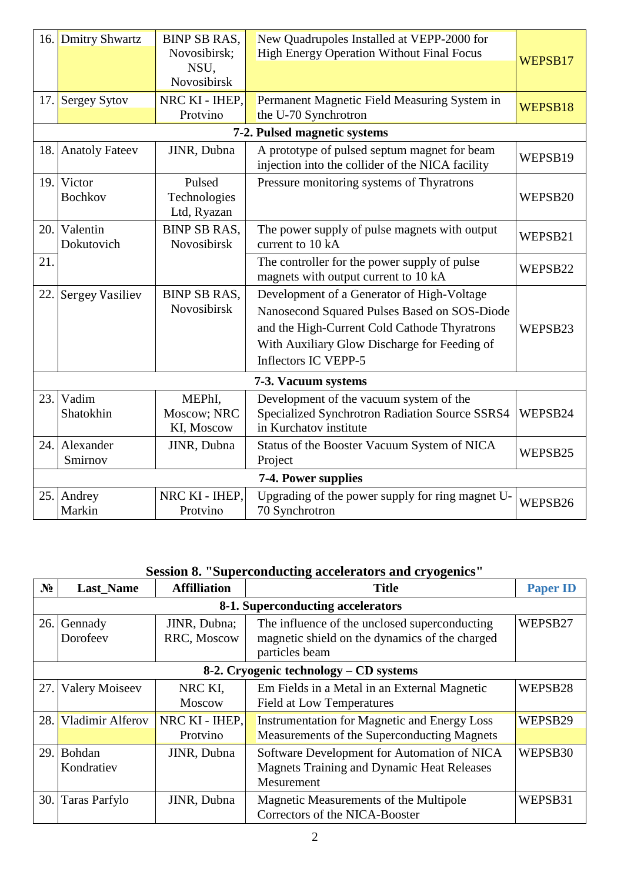|      | 16. Dmitry Shwartz           | <b>BINP SB RAS,</b><br>Novosibirsk;<br>NSU,<br><b>Novosibirsk</b> | New Quadrupoles Installed at VEPP-2000 for<br><b>High Energy Operation Without Final Focus</b>                                                                                                                     | WEPSB17 |  |  |
|------|------------------------------|-------------------------------------------------------------------|--------------------------------------------------------------------------------------------------------------------------------------------------------------------------------------------------------------------|---------|--|--|
|      | 17. Sergey Sytov             | NRC KI - IHEP,<br>Protvino                                        | Permanent Magnetic Field Measuring System in<br>the U-70 Synchrotron                                                                                                                                               | WEPSB18 |  |  |
|      |                              |                                                                   | 7-2. Pulsed magnetic systems                                                                                                                                                                                       |         |  |  |
|      | 18. Anatoly Fateev           | JINR, Dubna                                                       | A prototype of pulsed septum magnet for beam<br>injection into the collider of the NICA facility                                                                                                                   | WEPSB19 |  |  |
|      | 19. Victor<br><b>Bochkov</b> | Pulsed<br>Technologies<br>Ltd, Ryazan                             | Pressure monitoring systems of Thyratrons                                                                                                                                                                          | WEPSB20 |  |  |
| 20.1 | Valentin<br>Dokutovich       | <b>BINP SB RAS,</b><br>Novosibirsk                                | The power supply of pulse magnets with output<br>current to 10 kA                                                                                                                                                  | WEPSB21 |  |  |
| 21.  |                              |                                                                   | The controller for the power supply of pulse<br>magnets with output current to 10 kA                                                                                                                               | WEPSB22 |  |  |
| 22.  | <b>Sergey Vasiliev</b>       | <b>BINP SB RAS,</b><br>Novosibirsk                                | Development of a Generator of High-Voltage<br>Nanosecond Squared Pulses Based on SOS-Diode<br>and the High-Current Cold Cathode Thyratrons<br>With Auxiliary Glow Discharge for Feeding of<br>Inflectors IC VEPP-5 | WEPSB23 |  |  |
|      | 7-3. Vacuum systems          |                                                                   |                                                                                                                                                                                                                    |         |  |  |
| 23.  | Vadim<br>Shatokhin           | MEPhI,<br>Moscow; NRC<br>KI, Moscow                               | Development of the vacuum system of the<br>Specialized Synchrotron Radiation Source SSRS4<br>in Kurchatov institute                                                                                                | WEPSB24 |  |  |
|      | 24. Alexander<br>Smirnov     | JINR, Dubna                                                       | Status of the Booster Vacuum System of NICA<br>Project                                                                                                                                                             | WEPSB25 |  |  |
|      | 7-4. Power supplies          |                                                                   |                                                                                                                                                                                                                    |         |  |  |
|      | 25. Andrey<br>Markin         | NRC KI - IHEP,<br>Protvino                                        | Upgrading of the power supply for ring magnet U-<br>70 Synchrotron                                                                                                                                                 | WEPSB26 |  |  |

# **Session 8. "Superconducting accelerators and cryogenics"**

| $N_2$ | <b>Last_Name</b>                       | <b>Affilliation</b>         | <b>Title</b>                                                                                                      | <b>Paper ID</b> |  |  |
|-------|----------------------------------------|-----------------------------|-------------------------------------------------------------------------------------------------------------------|-----------------|--|--|
|       | 8-1. Superconducting accelerators      |                             |                                                                                                                   |                 |  |  |
|       | 26. Gennady<br>Dorofeev                | JINR, Dubna;<br>RRC, Moscow | The influence of the unclosed superconducting<br>magnetic shield on the dynamics of the charged<br>particles beam | WEPSB27         |  |  |
|       | 8-2. Cryogenic technology - CD systems |                             |                                                                                                                   |                 |  |  |
| 27.1  | <b>Valery Moiseev</b>                  | NRC KI,<br><b>Moscow</b>    | Em Fields in a Metal in an External Magnetic<br><b>Field at Low Temperatures</b>                                  | WEPSB28         |  |  |
| 28.   | Vladimir Alferov                       | NRC KI - IHEP,<br>Protvino  | <b>Instrumentation for Magnetic and Energy Loss</b><br>Measurements of the Superconducting Magnets                | WEPSB29         |  |  |
| 29.1  | Bohdan<br>Kondratiev                   | JINR, Dubna                 | Software Development for Automation of NICA<br><b>Magnets Training and Dynamic Heat Releases</b><br>Mesurement    | WEPSB30         |  |  |
|       | 30. Taras Parfylo                      | JINR, Dubna                 | Magnetic Measurements of the Multipole<br>Correctors of the NICA-Booster                                          | WEPSB31         |  |  |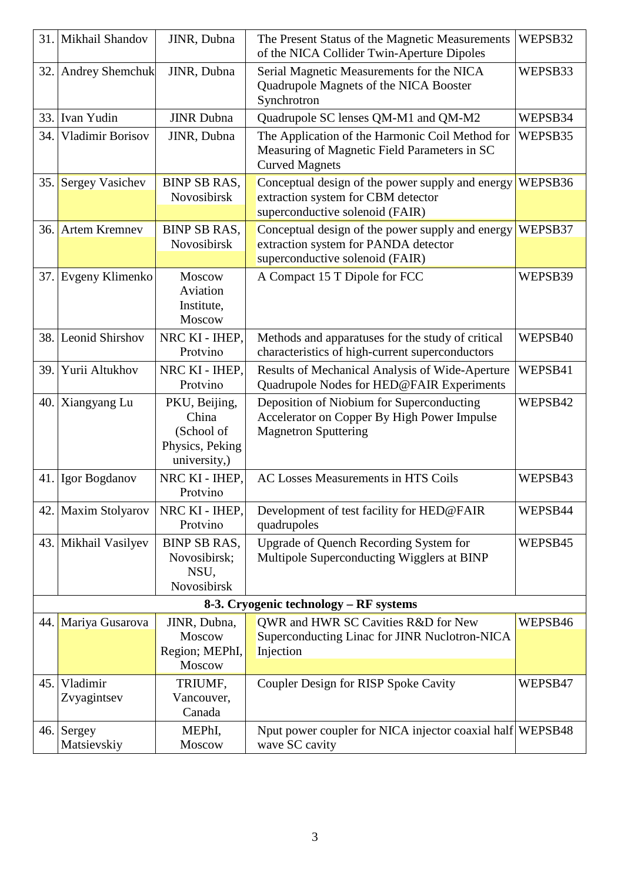|      | 31. Mikhail Shandov                    | JINR, Dubna                                                             | The Present Status of the Magnetic Measurements<br>of the NICA Collider Twin-Aperture Dipoles                               | WEPSB32 |  |  |
|------|----------------------------------------|-------------------------------------------------------------------------|-----------------------------------------------------------------------------------------------------------------------------|---------|--|--|
| 32.  | <b>Andrey Shemchuk</b>                 | JINR, Dubna                                                             | Serial Magnetic Measurements for the NICA<br>Quadrupole Magnets of the NICA Booster<br>Synchrotron                          | WEPSB33 |  |  |
| 33.  | Ivan Yudin                             | <b>JINR</b> Dubna                                                       | Quadrupole SC lenses QM-M1 and QM-M2                                                                                        | WEPSB34 |  |  |
| 34.  | Vladimir Borisov                       | JINR, Dubna                                                             | The Application of the Harmonic Coil Method for<br>Measuring of Magnetic Field Parameters in SC<br><b>Curved Magnets</b>    | WEPSB35 |  |  |
| 35.  | <b>Sergey Vasichev</b>                 | <b>BINP SB RAS,</b><br>Novosibirsk                                      | Conceptual design of the power supply and energy<br>extraction system for CBM detector<br>superconductive solenoid (FAIR)   | WEPSB36 |  |  |
| 36.  | <b>Artem Kremnev</b>                   | <b>BINP SB RAS,</b><br>Novosibirsk                                      | Conceptual design of the power supply and energy<br>extraction system for PANDA detector<br>superconductive solenoid (FAIR) | WEPSB37 |  |  |
|      | 37. Evgeny Klimenko                    | Moscow<br>Aviation<br>Institute,<br>Moscow                              | A Compact 15 T Dipole for FCC                                                                                               | WEPSB39 |  |  |
| 38.1 | <b>Leonid Shirshov</b>                 | NRC KI - IHEP,<br>Protvino                                              | Methods and apparatuses for the study of critical<br>characteristics of high-current superconductors                        | WEPSB40 |  |  |
| 39.  | Yurii Altukhov                         | NRC KI - IHEP,<br>Protvino                                              | Results of Mechanical Analysis of Wide-Aperture<br>Quadrupole Nodes for HED@FAIR Experiments                                | WEPSB41 |  |  |
|      | 40. Xiangyang Lu                       | PKU, Beijing,<br>China<br>(School of<br>Physics, Peking<br>university,) | Deposition of Niobium for Superconducting<br>Accelerator on Copper By High Power Impulse<br><b>Magnetron Sputtering</b>     | WEPSB42 |  |  |
|      | 41. Igor Bogdanov                      | NRC KI - IHEP,<br>Protvino                                              | AC Losses Measurements in HTS Coils                                                                                         | WEPSB43 |  |  |
| 42.1 | <b>Maxim Stolyarov</b>                 | NRC KI - IHEP,<br>Protvino                                              | Development of test facility for HED@FAIR<br>quadrupoles                                                                    | WEPSB44 |  |  |
|      | 43. Mikhail Vasilyev                   | <b>BINP SB RAS,</b><br>Novosibirsk;<br>NSU,<br>Novosibirsk              | Upgrade of Quench Recording System for<br>Multipole Superconducting Wigglers at BINP                                        | WEPSB45 |  |  |
|      | 8-3. Cryogenic technology – RF systems |                                                                         |                                                                                                                             |         |  |  |
|      | 44. Mariya Gusarova                    | JINR, Dubna,<br>Moscow<br>Region; MEPhI,<br>Moscow                      | QWR and HWR SC Cavities R&D for New<br>Superconducting Linac for JINR Nuclotron-NICA<br>Injection                           | WEPSB46 |  |  |
| 45.  | Vladimir<br>Zvyagintsev                | TRIUMF,<br>Vancouver,<br>Canada                                         | Coupler Design for RISP Spoke Cavity                                                                                        | WEPSB47 |  |  |
| 46.  | Sergey<br>Matsievskiy                  | MEPhI,<br>Moscow                                                        | Nput power coupler for NICA injector coaxial half WEPSB48<br>wave SC cavity                                                 |         |  |  |